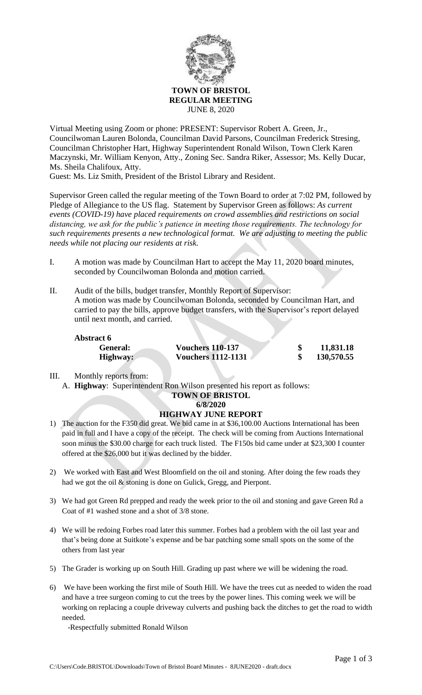

Virtual Meeting using Zoom or phone: PRESENT: Supervisor Robert A. Green, Jr., Councilwoman Lauren Bolonda, Councilman David Parsons, Councilman Frederick Stresing, Councilman Christopher Hart, Highway Superintendent Ronald Wilson, Town Clerk Karen Maczynski, Mr. William Kenyon, Atty., Zoning Sec. Sandra Riker, Assessor; Ms. Kelly Ducar, Ms. Sheila Chalifoux, Atty.

Guest: Ms. Liz Smith, President of the Bristol Library and Resident.

Supervisor Green called the regular meeting of the Town Board to order at 7:02 PM, followed by Pledge of Allegiance to the US flag. Statement by Supervisor Green as follows: *As current events (COVID-19) have placed requirements on crowd assemblies and restrictions on social distancing, we ask for the public's patience in meeting those requirements. The technology for such requirements presents a new technological format. We are adjusting to meeting the public needs while not placing our residents at risk.*

- I. A motion was made by Councilman Hart to accept the May 11, 2020 board minutes, seconded by Councilwoman Bolonda and motion carried.
- II. Audit of the bills, budget transfer, Monthly Report of Supervisor: A motion was made by Councilwoman Bolonda, seconded by Councilman Hart, and carried to pay the bills, approve budget transfers, with the Supervisor's report delayed until next month, and carried.

| <b>Abstract 6</b> |                           |  |            |
|-------------------|---------------------------|--|------------|
| General:          | <b>Vouchers 110-137</b>   |  | 11,831.18  |
| Highway:          | <b>Vouchers 1112-1131</b> |  | 130,570.55 |

## III. Monthly reports from:

A. **Highway**: Superintendent Ron Wilson presented his report as follows:

# **TOWN OF BRISTOL**

#### **6/8/2020 HIGHWAY JUNE REPORT**

- 1) The auction for the F350 did great. We bid came in at \$36,100.00 Auctions International has been paid in full and I have a copy of the receipt. The check will be coming from Auctions International soon minus the \$30.00 charge for each truck listed. The F150s bid came under at \$23,300 I counter offered at the \$26,000 but it was declined by the bidder.
- 2) We worked with East and West Bloomfield on the oil and stoning. After doing the few roads they had we got the oil & stoning is done on Gulick, Gregg, and Pierpont.
- 3) We had got Green Rd prepped and ready the week prior to the oil and stoning and gave Green Rd a Coat of #1 washed stone and a shot of 3/8 stone.
- 4) We will be redoing Forbes road later this summer. Forbes had a problem with the oil last year and that's being done at Suitkote's expense and be bar patching some small spots on the some of the others from last year
- 5) The Grader is working up on South Hill. Grading up past where we will be widening the road.
- 6) We have been working the first mile of South Hill. We have the trees cut as needed to widen the road and have a tree surgeon coming to cut the trees by the power lines. This coming week we will be working on replacing a couple driveway culverts and pushing back the ditches to get the road to width needed.

-Respectfully submitted Ronald Wilson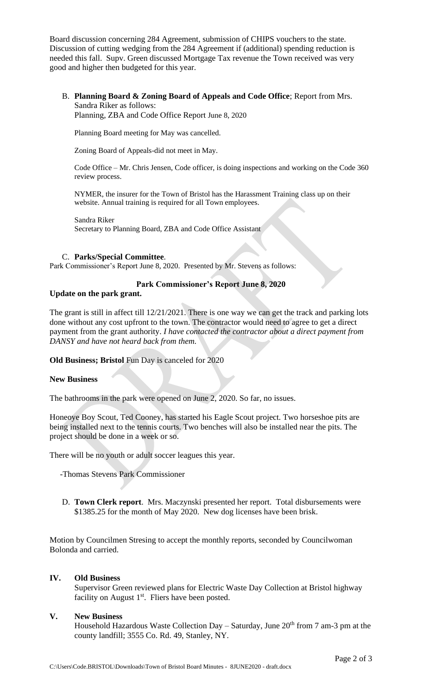Board discussion concerning 284 Agreement, submission of CHIPS vouchers to the state. Discussion of cutting wedging from the 284 Agreement if (additional) spending reduction is needed this fall. Supv. Green discussed Mortgage Tax revenue the Town received was very good and higher then budgeted for this year.

B. **Planning Board & Zoning Board of Appeals and Code Office**; Report from Mrs. Sandra Riker as follows:

Planning, ZBA and Code Office Report June 8, 2020

Planning Board meeting for May was cancelled.

Zoning Board of Appeals-did not meet in May.

Code Office – Mr. Chris Jensen, Code officer, is doing inspections and working on the Code 360 review process.

NYMER, the insurer for the Town of Bristol has the Harassment Training class up on their website. Annual training is required for all Town employees.

Sandra Riker Secretary to Planning Board, ZBA and Code Office Assistant

### C. **Parks/Special Committee**.

Park Commissioner's Report June 8, 2020. Presented by Mr. Stevens as follows:

### **Park Commissioner's Report June 8, 2020**

### **Update on the park grant.**

The grant is still in affect till 12/21/2021. There is one way we can get the track and parking lots done without any cost upfront to the town. The contractor would need to agree to get a direct payment from the grant authority. *I have contacted the contractor about a direct payment from DANSY and have not heard back from them.*

**Old Business; Bristol** Fun Day is canceled for 2020

#### **New Business**

The bathrooms in the park were opened on June 2, 2020. So far, no issues.

Honeoye Boy Scout, Ted Cooney, has started his Eagle Scout project. Two horseshoe pits are being installed next to the tennis courts. Two benches will also be installed near the pits. The project should be done in a week or so.

There will be no youth or adult soccer leagues this year.

-Thomas Stevens Park Commissioner

D. **Town Clerk report**. Mrs. Maczynski presented her report. Total disbursements were \$1385.25 for the month of May 2020. New dog licenses have been brisk.

Motion by Councilmen Stresing to accept the monthly reports, seconded by Councilwoman Bolonda and carried.

## **IV. Old Business**

Supervisor Green reviewed plans for Electric Waste Day Collection at Bristol highway facility on August  $1<sup>st</sup>$ . Fliers have been posted.

#### **V. New Business**

Household Hazardous Waste Collection Day - Saturday, June 20<sup>th</sup> from 7 am-3 pm at the county landfill; 3555 Co. Rd. 49, Stanley, NY.